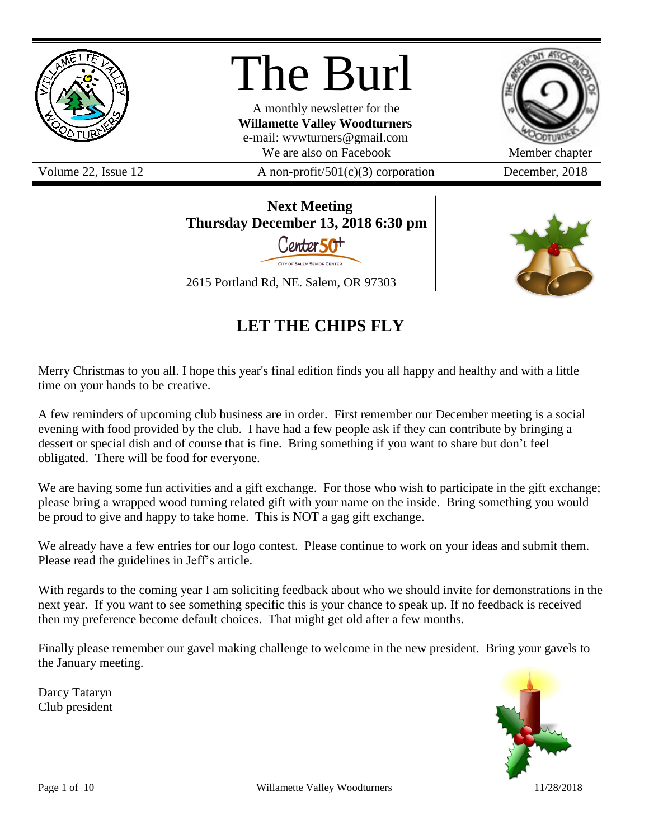

# The Burl

A monthly newsletter for the **Willamette Valley Woodturners** e-mail: wvwturners@gmail.com We are also on Facebook Member chapter

Volume 22, Issue 12  $A$  non-profit/501(c)(3) corporation December, 2018



**Next Meeting Thursday December 13, 2018 6:30 pm** Conter 50<sup>+</sup> 2615 Portland Rd, NE. Salem, OR 97303



# **LET THE CHIPS FLY**

Merry Christmas to you all. I hope this year's final edition finds you all happy and healthy and with a little time on your hands to be creative.

A few reminders of upcoming club business are in order. First remember our December meeting is a social evening with food provided by the club. I have had a few people ask if they can contribute by bringing a dessert or special dish and of course that is fine. Bring something if you want to share but don't feel obligated. There will be food for everyone.

We are having some fun activities and a gift exchange. For those who wish to participate in the gift exchange; please bring a wrapped wood turning related gift with your name on the inside. Bring something you would be proud to give and happy to take home. This is NOT a gag gift exchange.

We already have a few entries for our logo contest. Please continue to work on your ideas and submit them. Please read the guidelines in Jeff's article.

With regards to the coming year I am soliciting feedback about who we should invite for demonstrations in the next year. If you want to see something specific this is your chance to speak up. If no feedback is received then my preference become default choices. That might get old after a few months.

Finally please remember our gavel making challenge to welcome in the new president. Bring your gavels to the January meeting.

Darcy Tataryn Club president

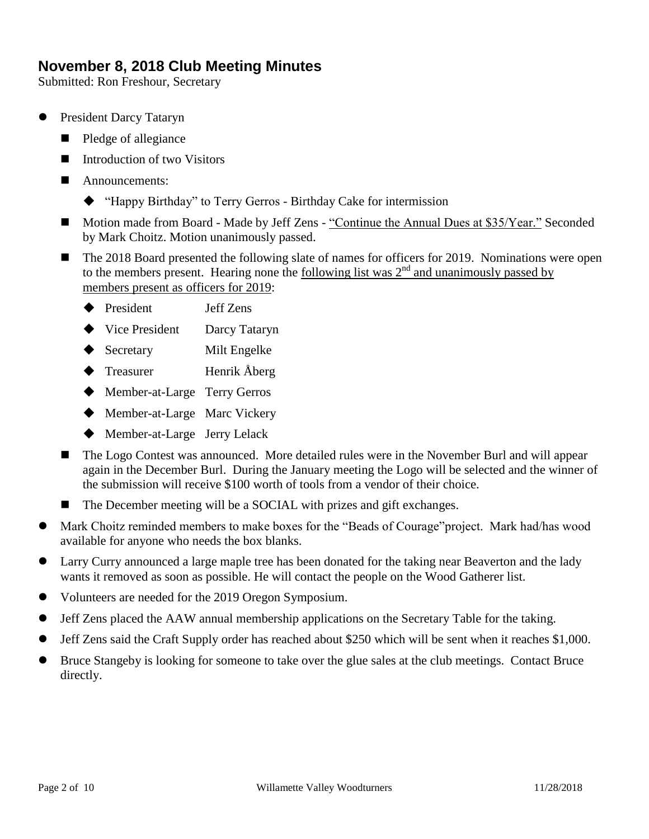# **November 8, 2018 Club Meeting Minutes**

Submitted: Ron Freshour, Secretary

- President Darcy Tataryn
	- Pledge of allegiance
	- Introduction of two Visitors
	- **Announcements:** 
		- "Happy Birthday" to Terry Gerros Birthday Cake for intermission
	- Motion made from Board Made by Jeff Zens "Continue the Annual Dues at \$35/Year." Seconded by Mark Choitz. Motion unanimously passed.
	- The 2018 Board presented the following slate of names for officers for 2019. Nominations were open to the members present. Hearing none the <u>following list was  $2<sup>nd</sup>$  and unanimously passed by</u> members present as officers for 2019:
		- ◆ President Jeff Zens
		- ◆ Vice President Darcy Tataryn
		- ◆ Secretary Milt Engelke
		- ◆ Treasurer Henrik Åberg
		- ◆ Member-at-Large Terry Gerros
		- ◆ Member-at-Large Marc Vickery
		- Member-at-Large Jerry Lelack
	- The Logo Contest was announced. More detailed rules were in the November Burl and will appear again in the December Burl. During the January meeting the Logo will be selected and the winner of the submission will receive \$100 worth of tools from a vendor of their choice.
	- The December meeting will be a SOCIAL with prizes and gift exchanges.
- Mark Choitz reminded members to make boxes for the "Beads of Courage"project. Mark had/has wood available for anyone who needs the box blanks.
- Larry Curry announced a large maple tree has been donated for the taking near Beaverton and the lady wants it removed as soon as possible. He will contact the people on the Wood Gatherer list.
- Volunteers are needed for the 2019 Oregon Symposium.
- Jeff Zens placed the AAW annual membership applications on the Secretary Table for the taking.
- Jeff Zens said the Craft Supply order has reached about \$250 which will be sent when it reaches \$1,000.
- Bruce Stangeby is looking for someone to take over the glue sales at the club meetings. Contact Bruce directly.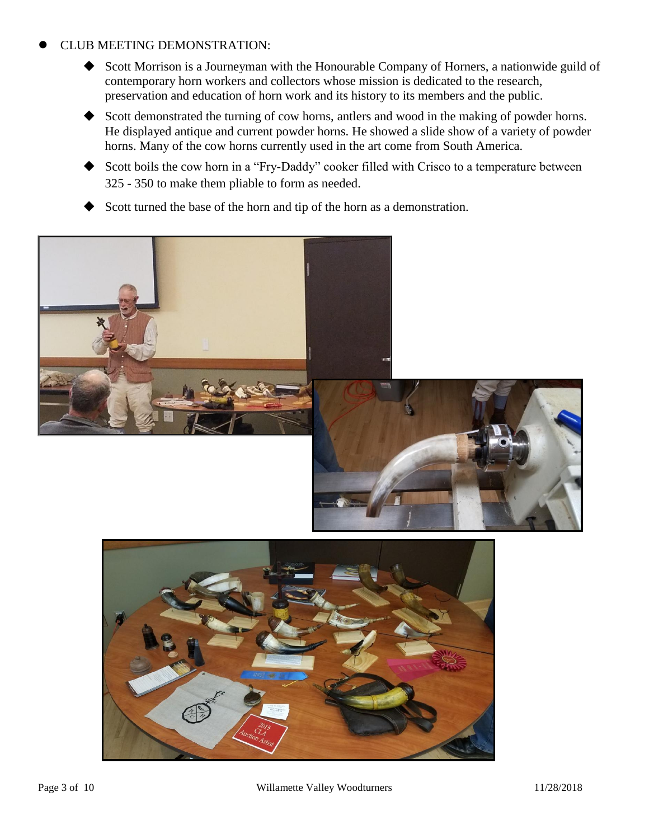#### CLUB MEETING DEMONSTRATION:

- Scott Morrison is a Journeyman with the Honourable Company of Horners, a nationwide guild of contemporary horn workers and collectors whose mission is dedicated to the research, preservation and education of horn work and its history to its members and the public.
- Scott demonstrated the turning of cow horns, antlers and wood in the making of powder horns. He displayed antique and current powder horns. He showed a slide show of a variety of powder horns. Many of the cow horns currently used in the art come from South America.
- Scott boils the cow horn in a "Fry-Daddy" cooker filled with Crisco to a temperature between 325 - 350 to make them pliable to form as needed.
- Scott turned the base of the horn and tip of the horn as a demonstration.





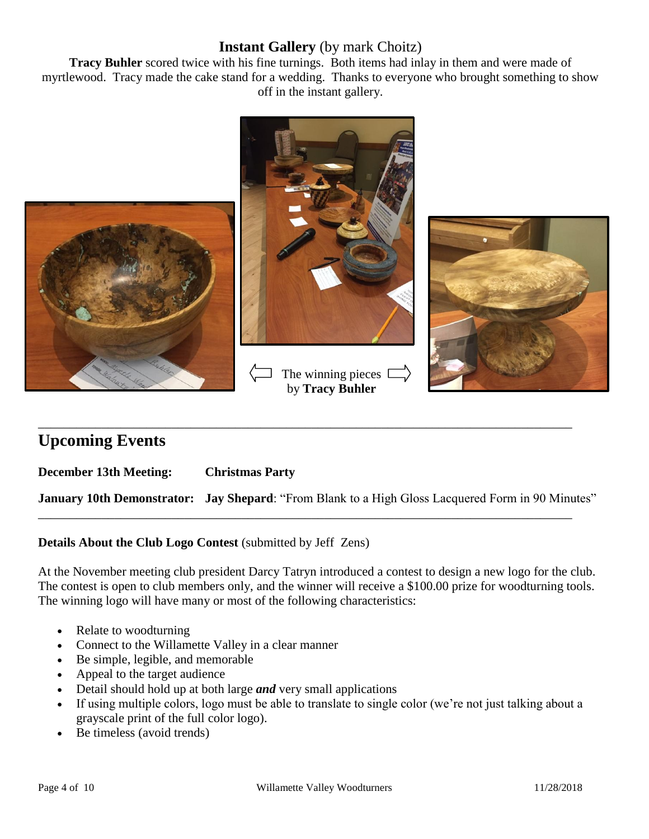## **Instant Gallery** (by mark Choitz)

**Tracy Buhler** scored twice with his fine turnings. Both items had inlay in them and were made of myrtlewood. Tracy made the cake stand for a wedding. Thanks to everyone who brought something to show off in the instant gallery.



# **Upcoming Events**

**December 13th Meeting: Christmas Party**

**January 10th Demonstrator: Jay Shepard**: "From Blank to a High Gloss Lacquered Form in 90 Minutes"

\_\_\_\_\_\_\_\_\_\_\_\_\_\_\_\_\_\_\_\_\_\_\_\_\_\_\_\_\_\_\_\_\_\_\_\_\_\_\_\_\_\_\_\_\_\_\_\_\_\_\_\_\_\_\_\_\_\_\_\_\_\_\_\_\_\_\_\_\_\_\_\_\_\_\_\_\_\_\_\_\_\_\_\_

\_\_\_\_\_\_\_\_\_\_\_\_\_\_\_\_\_\_\_\_\_\_\_\_\_\_\_\_\_\_\_\_\_\_\_\_\_\_\_\_\_\_\_\_\_\_\_\_\_\_\_\_\_\_\_\_\_\_\_\_\_\_\_\_\_\_\_\_\_\_\_\_\_\_\_\_\_\_\_\_\_\_\_\_

**Details About the Club Logo Contest** (submitted by Jeff Zens)

At the November meeting club president Darcy Tatryn introduced a contest to design a new logo for the club. The contest is open to club members only, and the winner will receive a \$100.00 prize for woodturning tools. The winning logo will have many or most of the following characteristics:

- Relate to woodturning
- Connect to the Willamette Valley in a clear manner
- Be simple, legible, and memorable
- Appeal to the target audience
- Detail should hold up at both large *and* very small applications
- If using multiple colors, logo must be able to translate to single color (we're not just talking about a grayscale print of the full color logo).
- Be timeless (avoid trends)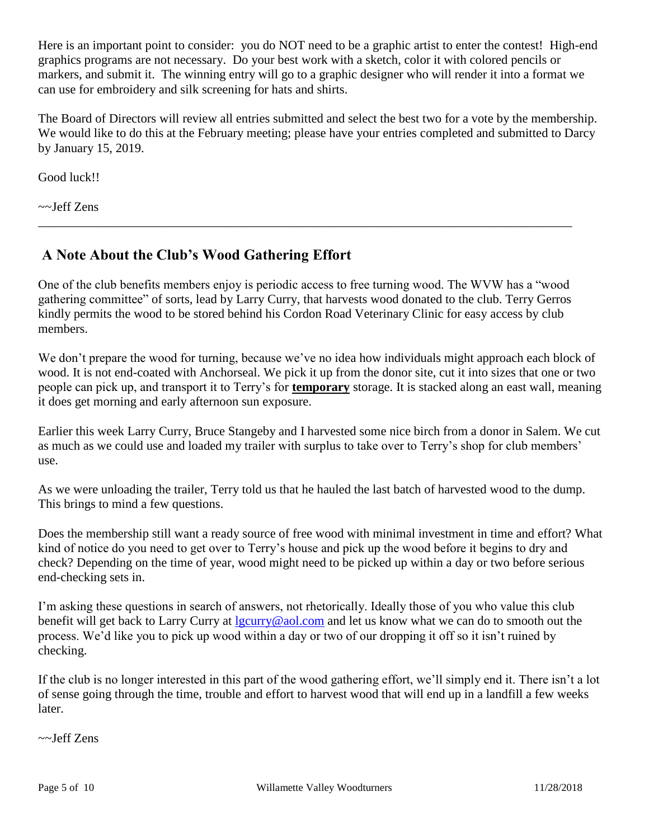Here is an important point to consider: you do NOT need to be a graphic artist to enter the contest! High-end graphics programs are not necessary. Do your best work with a sketch, color it with colored pencils or markers, and submit it. The winning entry will go to a graphic designer who will render it into a format we can use for embroidery and silk screening for hats and shirts.

The Board of Directors will review all entries submitted and select the best two for a vote by the membership. We would like to do this at the February meeting; please have your entries completed and submitted to Darcy by January 15, 2019.

Good luck!!

~~Jeff Zens

# **A Note About the Club's Wood Gathering Effort**

One of the club benefits members enjoy is periodic access to free turning wood. The WVW has a "wood gathering committee" of sorts, lead by Larry Curry, that harvests wood donated to the club. Terry Gerros kindly permits the wood to be stored behind his Cordon Road Veterinary Clinic for easy access by club members.

\_\_\_\_\_\_\_\_\_\_\_\_\_\_\_\_\_\_\_\_\_\_\_\_\_\_\_\_\_\_\_\_\_\_\_\_\_\_\_\_\_\_\_\_\_\_\_\_\_\_\_\_\_\_\_\_\_\_\_\_\_\_\_\_\_\_\_\_\_\_\_\_\_\_\_\_\_\_\_\_\_\_\_\_

We don't prepare the wood for turning, because we've no idea how individuals might approach each block of wood. It is not end-coated with Anchorseal. We pick it up from the donor site, cut it into sizes that one or two people can pick up, and transport it to Terry's for **temporary** storage. It is stacked along an east wall, meaning it does get morning and early afternoon sun exposure.

Earlier this week Larry Curry, Bruce Stangeby and I harvested some nice birch from a donor in Salem. We cut as much as we could use and loaded my trailer with surplus to take over to Terry's shop for club members' use.

As we were unloading the trailer, Terry told us that he hauled the last batch of harvested wood to the dump. This brings to mind a few questions.

Does the membership still want a ready source of free wood with minimal investment in time and effort? What kind of notice do you need to get over to Terry's house and pick up the wood before it begins to dry and check? Depending on the time of year, wood might need to be picked up within a day or two before serious end-checking sets in.

I'm asking these questions in search of answers, not rhetorically. Ideally those of you who value this club benefit will get back to Larry Curry at [lgcurry@aol.com](mailto:lgcurry@aol.com) and let us know what we can do to smooth out the process. We'd like you to pick up wood within a day or two of our dropping it off so it isn't ruined by checking.

If the club is no longer interested in this part of the wood gathering effort, we'll simply end it. There isn't a lot of sense going through the time, trouble and effort to harvest wood that will end up in a landfill a few weeks later.

~~Jeff Zens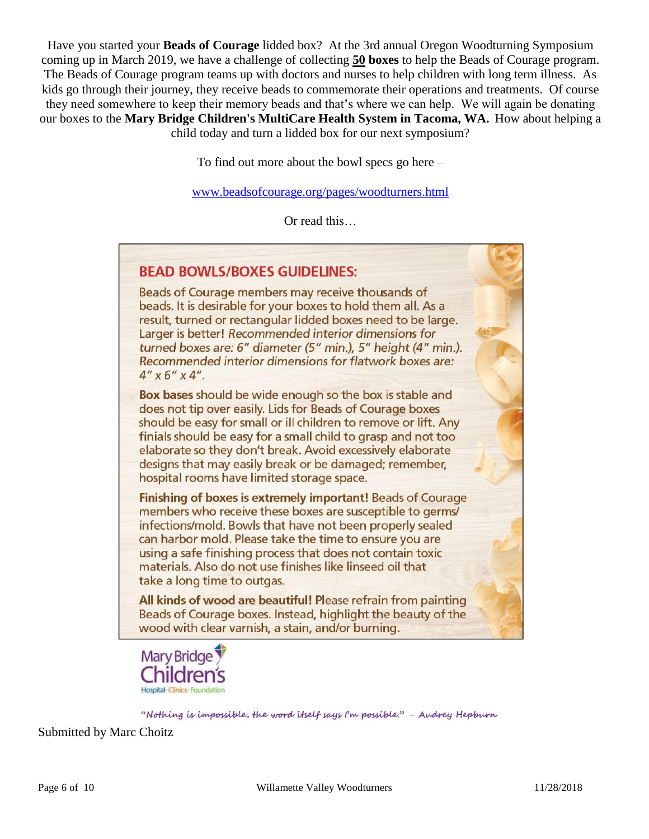Have you started your **Beads of Courage** lidded box? At the 3rd annual Oregon Woodturning Symposium coming up in March 2019, we have a challenge of collecting **50 boxes** to help the Beads of Courage program. The Beads of Courage program teams up with doctors and nurses to help children with long term illness. As kids go through their journey, they receive beads to commemorate their operations and treatments. Of course they need somewhere to keep their memory beads and that's where we can help. We will again be donating our boxes to the **Mary Bridge Children's MultiCare Health System in Tacoma, WA.** How about helping a child today and turn a lidded box for our next symposium?

To find out more about the bowl specs go here –

[www.beadsofcourage.org/pages/woodturners.html](http://www.beadsofcourage.org/pages/woodturners.html)

Or read this…

# **BEAD BOWLS/BOXES GUIDELINES:**

Beads of Courage members may receive thousands of beads. It is desirable for your boxes to hold them all. As a result, turned or rectangular lidded boxes need to be large. Larger is better! Recommended interior dimensions for turned boxes are: 6" diameter (5" min.), 5" height (4" min.). Recommended interior dimensions for flatwork boxes are:  $4'' \times 6'' \times 4''$ .

Box bases should be wide enough so the box is stable and does not tip over easily. Lids for Beads of Courage boxes should be easy for small or ill children to remove or lift. Any finials should be easy for a small child to grasp and not too elaborate so they don't break. Avoid excessively elaborate designs that may easily break or be damaged; remember, hospital rooms have limited storage space.

Finishing of boxes is extremely important! Beads of Courage members who receive these boxes are susceptible to germs/ infections/mold. Bowls that have not been properly sealed can harbor mold. Please take the time to ensure you are using a safe finishing process that does not contain toxic materials. Also do not use finishes like linseed oil that take a long time to outgas.

All kinds of wood are beautiful! Please refrain from painting Beads of Courage boxes. Instead, highlight the beauty of the wood with clear varnish, a stain, and/or burning.



"Nothing is impossible, the word itself says I'm possible." - Audrey Hepburn

Submitted by Marc Choitz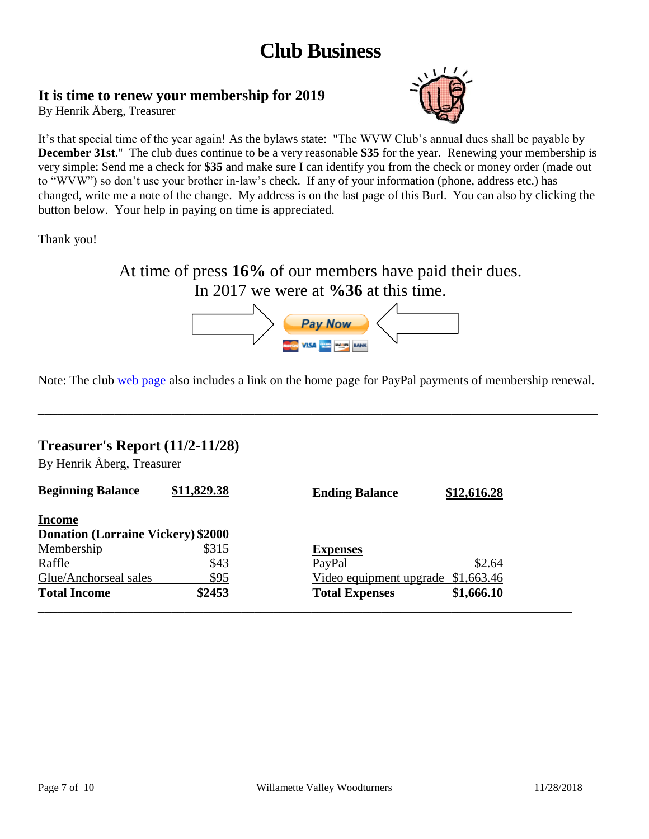# **Club Business**

# **It is time to renew your membership for 2019**

By Henrik Åberg, Treasurer



It's that special time of the year again! As the bylaws state: "The WVW Club's annual dues shall be payable by **December 31st**." The club dues continue to be a very reasonable **\$35** for the year. Renewing your membership is very simple: Send me a check for **\$35** and make sure I can identify you from the check or money order (made out to "WVW") so don't use your brother in-law's check. If any of your information (phone, address etc.) has changed, write me a note of the change. My address is on the last page of this Burl. You can also by clicking the button below. Your help in paying on time is appreciated.

Thank you!

At time of press **16%** of our members have paid their dues. In 2017 we were at **%36** at this time.



Note: The club [web page](http://www.willamettevalleywoodturners.com/) also includes a link on the home page for PayPal payments of membership renewal.

\_\_\_\_\_\_\_\_\_\_\_\_\_\_\_\_\_\_\_\_\_\_\_\_\_\_\_\_\_\_\_\_\_\_\_\_\_\_\_\_\_\_\_\_\_\_\_\_\_\_\_\_\_\_\_\_\_\_\_\_\_\_\_\_\_\_\_\_\_\_\_\_\_\_\_\_\_\_\_\_\_\_\_\_\_\_\_\_

## **Treasurer's Report (11/2-11/28)**

By Henrik Åberg, Treasurer

| <b>Beginning Balance</b>                  | \$11,829.38 | <b>Ending Balance</b>              | \$12,616.28 |
|-------------------------------------------|-------------|------------------------------------|-------------|
| <b>Income</b>                             |             |                                    |             |
| <b>Donation (Lorraine Vickery) \$2000</b> |             |                                    |             |
| Membership                                | \$315       | <b>Expenses</b>                    |             |
| Raffle                                    | \$43        | PayPal                             | \$2.64      |
| Glue/Anchorseal sales                     | \$95        | Video equipment upgrade \$1,663.46 |             |
| <b>Total Income</b>                       | \$2453      | <b>Total Expenses</b>              | \$1,666.10  |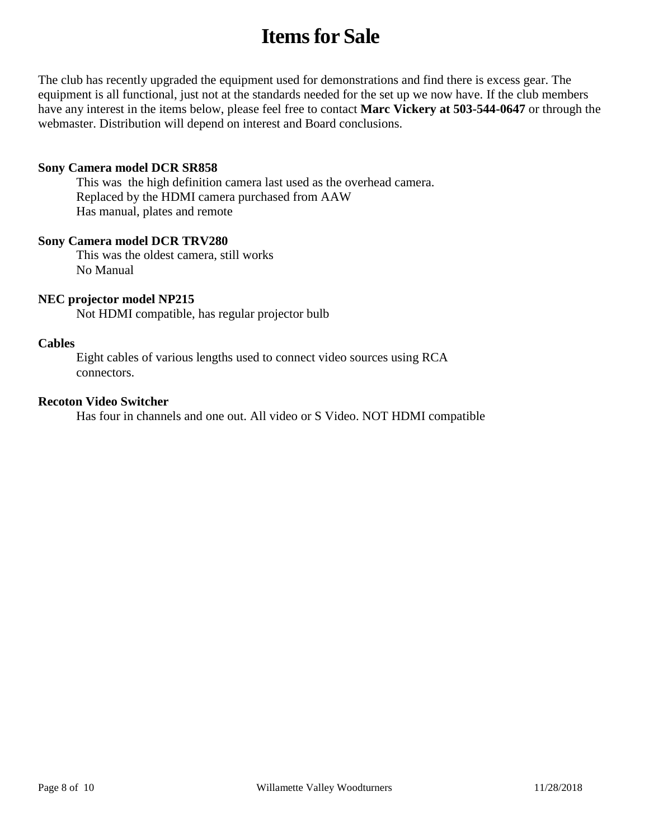# **Items for Sale**

The club has recently upgraded the equipment used for demonstrations and find there is excess gear. The equipment is all functional, just not at the standards needed for the set up we now have. If the club members have any interest in the items below, please feel free to contact **Marc Vickery at 503-544-0647** or through the webmaster. Distribution will depend on interest and Board conclusions.

#### **Sony Camera model DCR SR858**

This was the high definition camera last used as the overhead camera. Replaced by the HDMI camera purchased from AAW Has manual, plates and remote

#### **Sony Camera model DCR TRV280**

This was the oldest camera, still works No Manual

#### **NEC projector model NP215**

Not HDMI compatible, has regular projector bulb

#### **Cables**

Eight cables of various lengths used to connect video sources using RCA connectors.

#### **Recoton Video Switcher**

Has four in channels and one out. All video or S Video. NOT HDMI compatible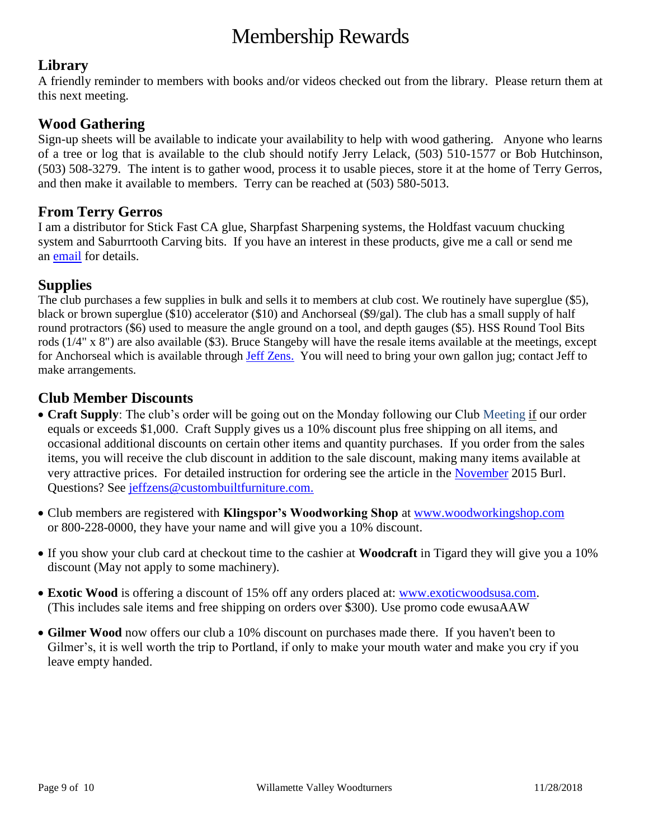# Membership Rewards

# **Library**

A friendly reminder to members with books and/or videos checked out from the library. Please return them at this next meeting.

# **Wood Gathering**

Sign-up sheets will be available to indicate your availability to help with wood gathering. Anyone who learns of a tree or log that is available to the club should notify Jerry Lelack, (503) 510-1577 or Bob Hutchinson, (503) 508-3279. The intent is to gather wood, process it to usable pieces, store it at the home of Terry Gerros, and then make it available to members. Terry can be reached at (503) 580-5013.

# **From Terry Gerros**

I am a distributor for Stick Fast CA glue, Sharpfast Sharpening systems, the Holdfast vacuum chucking system and Saburrtooth Carving bits. If you have an interest in these products, give me a call or send me an [email](mailto:gerrost@yahoo.com) for details.

# **Supplies**

The club purchases a few supplies in bulk and sells it to members at club cost. We routinely have superglue (\$5), black or brown superglue (\$10) accelerator (\$10) and Anchorseal (\$9/gal). The club has a small supply of half round protractors (\$6) used to measure the angle ground on a tool, and depth gauges (\$5). HSS Round Tool Bits rods (1/4" x 8") are also available (\$3). Bruce Stangeby will have the resale items available at the meetings, except for Anchorseal which is available through [Jeff Zens.](mailto:jeffzens@custombuiltfurniture.com) You will need to bring your own gallon jug; contact Jeff to make arrangements.

# **Club Member Discounts**

- **Craft Supply**: The club's order will be going out on the Monday following our Club Meeting if our order equals or exceeds \$1,000. Craft Supply gives us a 10% discount plus free shipping on all items, and occasional additional discounts on certain other items and quantity purchases. If you order from the sales items, you will receive the club discount in addition to the sale discount, making many items available at very attractive prices. For detailed instruction for ordering see the article in the [November](http://www.willamettevalleywoodturners.com/newsletters/2015_11_WVW_Newsletter.pdf) 2015 Burl. Questions? See [jeffzens@custombuiltfurniture.com.](mailto:jeffzens@custombuiltfurniture.com.)
- Club members are registered with **Klingspor's Woodworking Shop** at [www.woodworkingshop.com](http://www.woodworkingshop.com/)  or 800-228-0000, they have your name and will give you a 10% discount.
- If you show your club card at checkout time to the cashier at **Woodcraft** in Tigard they will give you a 10% discount (May not apply to some machinery).
- **Exotic Wood** is offering a discount of 15% off any orders placed at: [www.exoticwoodsusa.com.](http://www.exoticwoodsusa.com/) (This includes sale items and free shipping on orders over \$300). Use promo code ewusaAAW
- **Gilmer Wood** now offers our club a 10% discount on purchases made there. If you haven't been to Gilmer's, it is well worth the trip to Portland, if only to make your mouth water and make you cry if you leave empty handed.